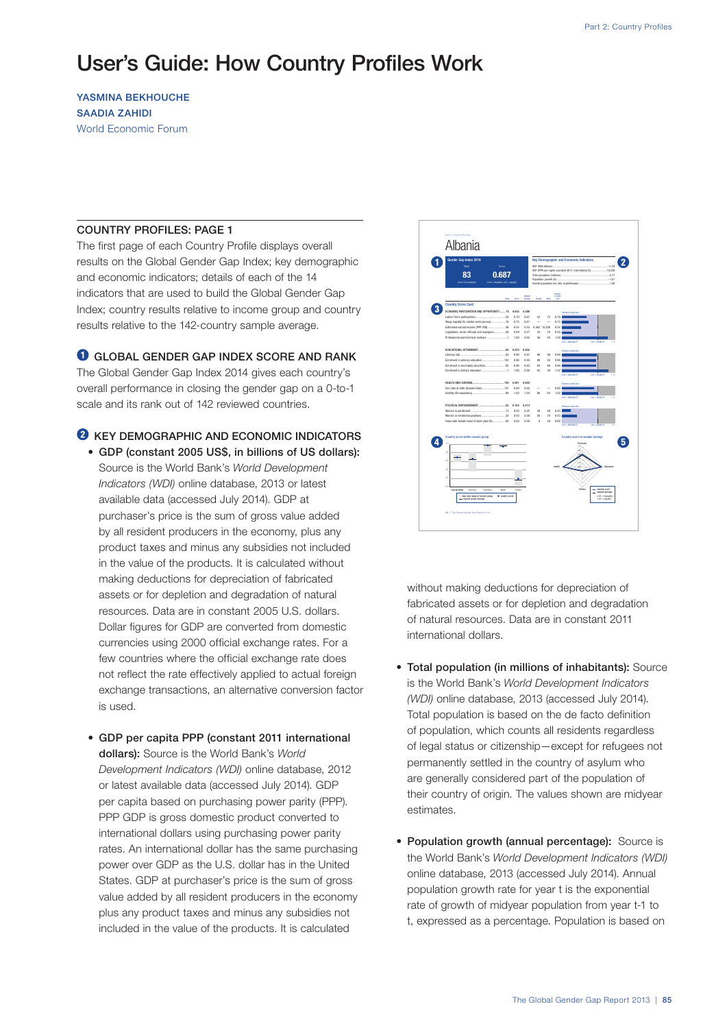# User's Guide: How Country Profiles Work

YASMINA BEKHOUCHE SAADIA ZAHIDI World Economic Forum

#### COUNTRY PROFILES: PAGE 1

The first page of each Country Profile displays overall results on the Global Gender Gap Index; key demographic and economic indicators; details of each of the 14 indicators that are used to build the Global Gender Gap Index; country results relative to income group and country results relative to the 142-country sample average.

**O** GLOBAL GENDER GAP INDEX SCORE AND RANK

The Global Gender Gap Index 2014 gives each country's overall performance in closing the gender gap on a 0-to-1 scale and its rank out of 142 reviewed countries.

# **2** KEY DEMOGRAPHIC AND ECONOMIC INDICATORS

- GDP (constant 2005 US\$, in billions of US dollars): Source is the World Bank's *World Development Indicators (WDI)* online database, 2013 or latest available data (accessed July 2014). GDP at purchaser's price is the sum of gross value added by all resident producers in the economy, plus any product taxes and minus any subsidies not included in the value of the products. It is calculated without making deductions for depreciation of fabricated assets or for depletion and degradation of natural resources. Data are in constant 2005 U.S. dollars. Dollar figures for GDP are converted from domestic currencies using 2000 official exchange rates. For a few countries where the official exchange rate does not reflect the rate effectively applied to actual foreign exchange transactions, an alternative conversion factor is used.
- GDP per capita PPP (constant 2011 international dollars): Source is the World Bank's *World Development Indicators (WDI)* online database, 2012 or latest available data (accessed July 2014). GDP per capita based on purchasing power parity (PPP). PPP GDP is gross domestic product converted to international dollars using purchasing power parity rates. An international dollar has the same purchasing power over GDP as the U.S. dollar has in the United States. GDP at purchaser's price is the sum of gross value added by all resident producers in the economy plus any product taxes and minus any subsidies not included in the value of the products. It is calculated



without making deductions for depreciation of fabricated assets or for depletion and degradation of natural resources. Data are in constant 2011 international dollars.

- Total population (in millions of inhabitants): Source is the World Bank's *World Development Indicators (WDI)* online database, 2013 (accessed July 2014). Total population is based on the de facto definition of population, which counts all residents regardless of legal status or citizenship—except for refugees not permanently settled in the country of asylum who are generally considered part of the population of their country of origin. The values shown are midyear estimates.
- Population growth (annual percentage): Source is the World Bank's *World Development Indicators (WDI)* online database, 2013 (accessed July 2014). Annual population growth rate for year t is the exponential rate of growth of midyear population from year t-1 to t, expressed as a percentage. Population is based on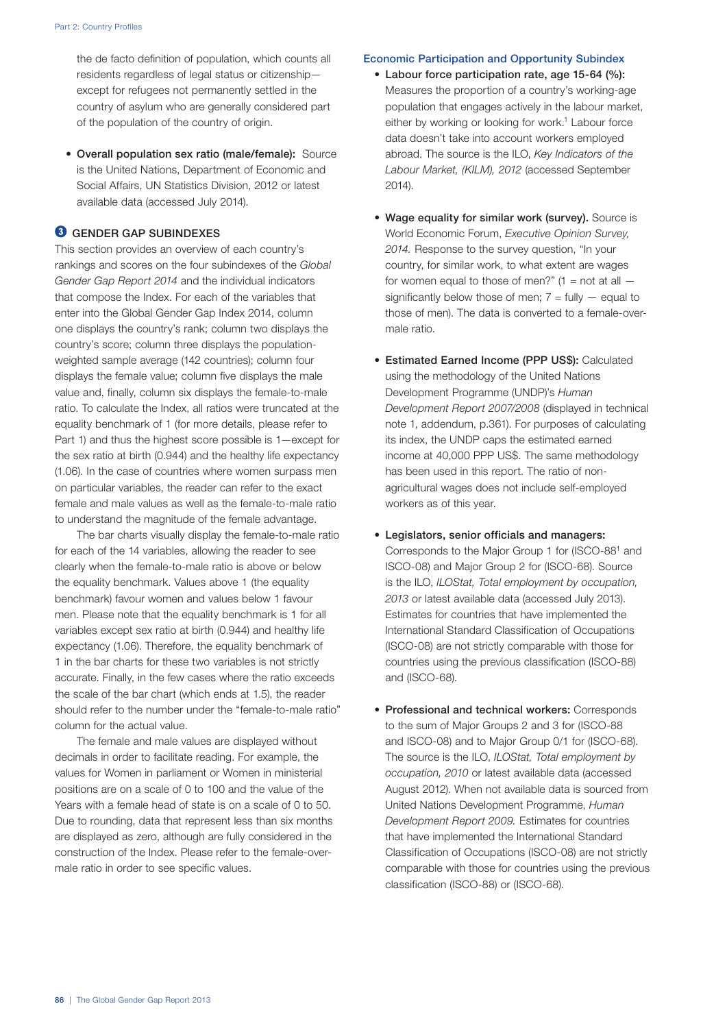the de facto definition of population, which counts all residents regardless of legal status or citizenship except for refugees not permanently settled in the country of asylum who are generally considered part of the population of the country of origin.

• Overall population sex ratio (male/female): Source is the United Nations, Department of Economic and Social Affairs, UN Statistics Division, 2012 or latest available data (accessed July 2014).

## **<sup>6</sup>** GENDER GAP SUBINDEXES

This section provides an overview of each country's rankings and scores on the four subindexes of the *Global Gender Gap Report 2014* and the individual indicators that compose the Index. For each of the variables that enter into the Global Gender Gap Index 2014, column one displays the country's rank; column two displays the country's score; column three displays the populationweighted sample average (142 countries); column four displays the female value; column five displays the male value and, finally, column six displays the female-to-male ratio. To calculate the Index, all ratios were truncated at the equality benchmark of 1 (for more details, please refer to Part 1) and thus the highest score possible is 1—except for the sex ratio at birth (0.944) and the healthy life expectancy (1.06). In the case of countries where women surpass men on particular variables, the reader can refer to the exact female and male values as well as the female-to-male ratio to understand the magnitude of the female advantage.

The bar charts visually display the female-to-male ratio for each of the 14 variables, allowing the reader to see clearly when the female-to-male ratio is above or below the equality benchmark. Values above 1 (the equality benchmark) favour women and values below 1 favour men. Please note that the equality benchmark is 1 for all variables except sex ratio at birth (0.944) and healthy life expectancy (1.06). Therefore, the equality benchmark of 1 in the bar charts for these two variables is not strictly accurate. Finally, in the few cases where the ratio exceeds the scale of the bar chart (which ends at 1.5), the reader should refer to the number under the "female-to-male ratio" column for the actual value.

The female and male values are displayed without decimals in order to facilitate reading. For example, the values for Women in parliament or Women in ministerial positions are on a scale of 0 to 100 and the value of the Years with a female head of state is on a scale of 0 to 50. Due to rounding, data that represent less than six months are displayed as zero, although are fully considered in the construction of the Index. Please refer to the female-overmale ratio in order to see specific values.

## Economic Participation and Opportunity Subindex

- Labour force participation rate, age 15-64 (%): Measures the proportion of a country's working-age population that engages actively in the labour market, either by working or looking for work.<sup>1</sup> Labour force data doesn't take into account workers employed abroad. The source is the ILO, *Key Indicators of the Labour Market, (KILM), 2012* (accessed September 2014).
- Wage equality for similar work (survey). Source is World Economic Forum, *Executive Opinion Survey, 2014.* Response to the survey question, "In your country, for similar work, to what extent are wages for women equal to those of men?"  $(1 = not at all$ significantly below those of men;  $7 =$  fully  $-$  equal to those of men). The data is converted to a female-overmale ratio.
- Estimated Earned Income (PPP US\$): Calculated using the methodology of the United Nations Development Programme (UNDP)'s *Human Development Report 2007/2008* (displayed in technical note 1, addendum, p.361). For purposes of calculating its index, the UNDP caps the estimated earned income at 40,000 PPP US\$. The same methodology has been used in this report. The ratio of nonagricultural wages does not include self-employed workers as of this year.
- Legislators, senior officials and managers: Corresponds to the Major Group 1 for (ISCO-881 and ISCO-08) and Major Group 2 for (ISCO-68). Source is the ILO, *ILOStat, Total employment by occupation, 2013* or latest available data (accessed July 2013). Estimates for countries that have implemented the International Standard Classification of Occupations (ISCO-08) are not strictly comparable with those for countries using the previous classification (ISCO-88) and (ISCO-68).
- Professional and technical workers: Corresponds to the sum of Major Groups 2 and 3 for (ISCO-88 and ISCO-08) and to Major Group 0/1 for (ISCO-68). The source is the ILO, *ILOStat, Total employment by occupation, 2010* or latest available data (accessed August 2012). When not available data is sourced from United Nations Development Programme, *Human Development Report 2009.* Estimates for countries that have implemented the International Standard Classification of Occupations (ISCO-08) are not strictly comparable with those for countries using the previous classification (ISCO-88) or (ISCO-68).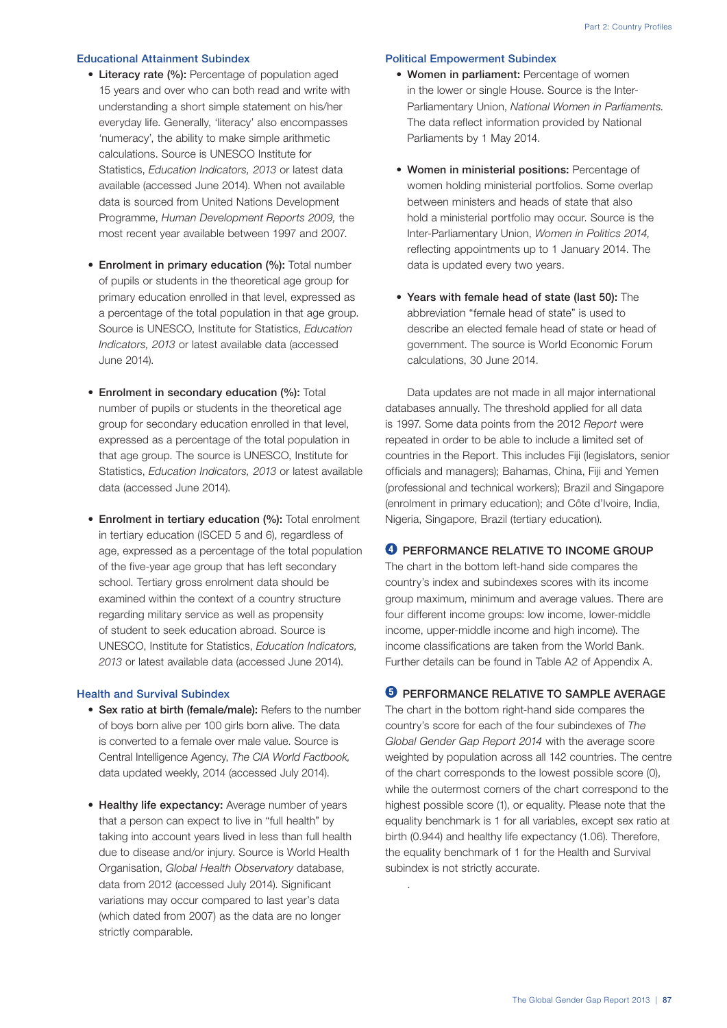### Educational Attainment Subindex

- Literacy rate (%): Percentage of population aged 15 years and over who can both read and write with understanding a short simple statement on his/her everyday life. Generally, 'literacy' also encompasses 'numeracy', the ability to make simple arithmetic calculations. Source is UNESCO Institute for Statistics, *Education Indicators, 2013* or latest data available (accessed June 2014). When not available data is sourced from United Nations Development Programme, *Human Development Reports 2009,* the most recent year available between 1997 and 2007.
- Enrolment in primary education (%): Total number of pupils or students in the theoretical age group for primary education enrolled in that level, expressed as a percentage of the total population in that age group. Source is UNESCO, Institute for Statistics, *Education Indicators, 2013* or latest available data (accessed June 2014).
- Enrolment in secondary education (%): Total number of pupils or students in the theoretical age group for secondary education enrolled in that level, expressed as a percentage of the total population in that age group. The source is UNESCO, Institute for Statistics, *Education Indicators, 2013* or latest available data (accessed June 2014).
- Enrolment in tertiary education (%): Total enrolment in tertiary education (ISCED 5 and 6), regardless of age, expressed as a percentage of the total population of the five-year age group that has left secondary school. Tertiary gross enrolment data should be examined within the context of a country structure regarding military service as well as propensity of student to seek education abroad. Source is UNESCO, Institute for Statistics, *Education Indicators, 2013* or latest available data (accessed June 2014).

## Health and Survival Subindex

- Sex ratio at birth (female/male): Refers to the number of boys born alive per 100 girls born alive. The data is converted to a female over male value. Source is Central Intelligence Agency, *The CIA World Factbook,* data updated weekly, 2014 (accessed July 2014).
- Healthy life expectancy: Average number of years that a person can expect to live in "full health" by taking into account years lived in less than full health due to disease and/or injury. Source is World Health Organisation, *Global Health Observatory* database, data from 2012 (accessed July 2014). Significant variations may occur compared to last year's data (which dated from 2007) as the data are no longer strictly comparable.

## Political Empowerment Subindex

- Women in parliament: Percentage of women in the lower or single House. Source is the Inter-Parliamentary Union, *National Women in Parliaments.* The data reflect information provided by National Parliaments by 1 May 2014.
- Women in ministerial positions: Percentage of women holding ministerial portfolios. Some overlap between ministers and heads of state that also hold a ministerial portfolio may occur. Source is the Inter-Parliamentary Union, *Women in Politics 2014,* reflecting appointments up to 1 January 2014. The data is updated every two years.
- Years with female head of state (last 50): The abbreviation "female head of state" is used to describe an elected female head of state or head of government. The source is World Economic Forum calculations, 30 June 2014.

Data updates are not made in all major international databases annually. The threshold applied for all data is 1997. Some data points from the 2012 *Report* were repeated in order to be able to include a limited set of countries in the Report. This includes Fiji (legislators, senior officials and managers); Bahamas, China, Fiji and Yemen (professional and technical workers); Brazil and Singapore (enrolment in primary education); and Côte d'Ivoire, India, Nigeria, Singapore, Brazil (tertiary education).

# **O** PERFORMANCE RELATIVE TO INCOME GROUP

The chart in the bottom left-hand side compares the country's index and subindexes scores with its income group maximum, minimum and average values. There are four different income groups: low income, lower-middle income, upper-middle income and high income). The income classifications are taken from the World Bank. Further details can be found in Table A2 of Appendix A.

## **O** PERFORMANCE RELATIVE TO SAMPLE AVERAGE

The chart in the bottom right-hand side compares the country's score for each of the four subindexes of *The Global Gender Gap Report 2014* with the average score weighted by population across all 142 countries. The centre of the chart corresponds to the lowest possible score (0), while the outermost corners of the chart correspond to the highest possible score (1), or equality. Please note that the equality benchmark is 1 for all variables, except sex ratio at birth (0.944) and healthy life expectancy (1.06). Therefore, the equality benchmark of 1 for the Health and Survival subindex is not strictly accurate.

.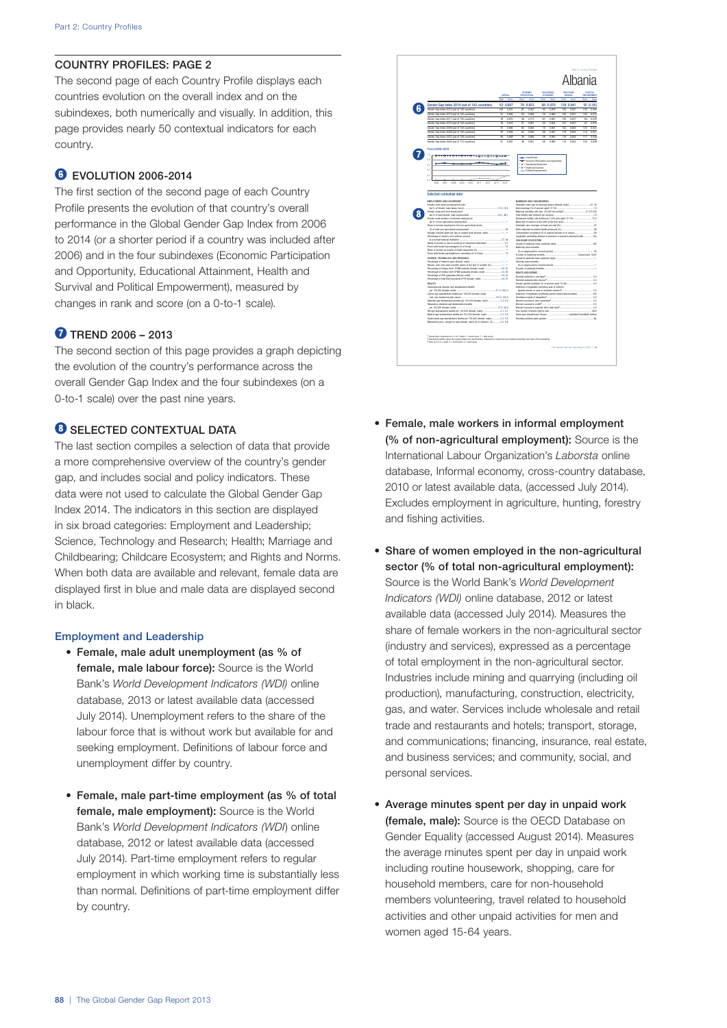## COUNTRY PROFILES: PAGE 2

The second page of each Country Profile displays each countries evolution on the overall index and on the subindexes, both numerically and visually. In addition, this page provides nearly 50 contextual indicators for each country.

# **C** EVOLUTION 2006-2014

The first section of the second page of each Country Profile presents the evolution of that country's overall performance in the Global Gender Gap Index from 2006 to 2014 (or a shorter period if a country was included after 2006) and in the four subindexes (Economic Participation and Opportunity, Educational Attainment, Health and Survival and Political Empowerment), measured by changes in rank and score (on a 0-to-1 scale).

# **TREND 2006 - 2013**

The second section of this page provides a graph depicting the evolution of the country's performance across the overall Gender Gap Index and the four subindexes (on a 0-to-1 scale) over the past nine years.

# **G** SELECTED CONTEXTUAL DATA

The last section compiles a selection of data that provide a more comprehensive overview of the country's gender gap, and includes social and policy indicators. These data were not used to calculate the Global Gender Gap Index 2014. The indicators in this section are displayed in six broad categories: Employment and Leadership; Science, Technology and Research; Health; Marriage and Childbearing; Childcare Ecosystem; and Rights and Norms. When both data are available and relevant, female data are displayed first in blue and male data are displayed second in black.

## Employment and Leadership

- Female, male adult unemployment (as % of female, male labour force): Source is the World Bank's *World Development Indicators (WDI)* online database, 2013 or latest available data (accessed July 2014). Unemployment refers to the share of the labour force that is without work but available for and seeking employment. Definitions of labour force and unemployment differ by country.
- Female, male part-time employment (as % of total female, male employment): Source is the World Bank's *World Development Indicators (WDI*) online database, 2012 or latest available data (accessed July 2014). Part-time employment refers to regular employment in which working time is substantially less than normal. Definitions of part-time employment differ by country.



- Female, male workers in informal employment (% of non-agricultural employment): Source is the International Labour Organization's *Laborsta* online database, Informal economy, cross-country database, 2010 or latest available data, (accessed July 2014). Excludes employment in agriculture, hunting, forestry and fishing activities.
- Share of women employed in the non-agricultural sector (% of total non-agricultural employment): Source is the World Bank's *World Development Indicators (WDI)* online database, 2012 or latest available data (accessed July 2014). Measures the share of female workers in the non-agricultural sector (industry and services), expressed as a percentage of total employment in the non-agricultural sector. Industries include mining and quarrying (including oil production), manufacturing, construction, electricity, gas, and water. Services include wholesale and retail trade and restaurants and hotels; transport, storage, and communications; financing, insurance, real estate, and business services; and community, social, and personal services.
- Average minutes spent per day in unpaid work (female, male): Source is the OECD Database on Gender Equality (accessed August 2014). Measures the average minutes spent per day in unpaid work including routine housework, shopping, care for household members, care for non-household members volunteering, travel related to household activities and other unpaid activities for men and women aged 15-64 years.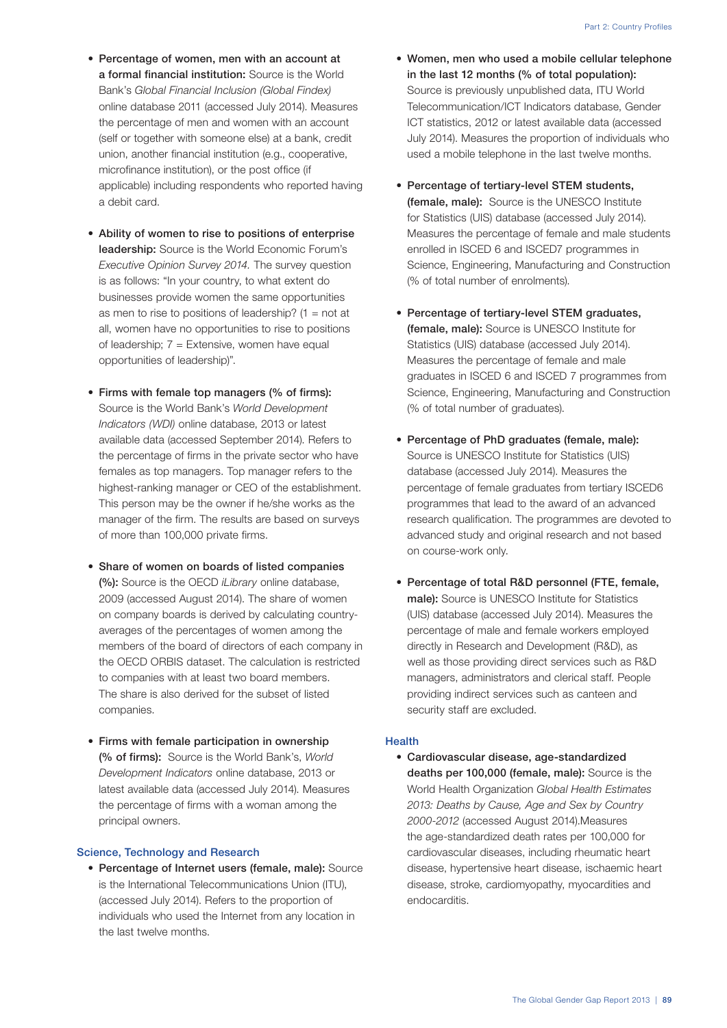- Percentage of women, men with an account at a formal financial institution: Source is the World Bank's *Global Financial Inclusion (Global Findex)* online database 2011 (accessed July 2014). Measures the percentage of men and women with an account (self or together with someone else) at a bank, credit union, another financial institution (e.g., cooperative, microfinance institution), or the post office (if applicable) including respondents who reported having a debit card.
- Ability of women to rise to positions of enterprise leadership: Source is the World Economic Forum's *Executive Opinion Survey 2014.* The survey question is as follows: "In your country, to what extent do businesses provide women the same opportunities as men to rise to positions of leadership?  $(1 = not at$ all, women have no opportunities to rise to positions of leadership;  $7 =$  Extensive, women have equal opportunities of leadership)".
- Firms with female top managers (% of firms): Source is the World Bank's *World Development Indicators (WDI)* online database, 2013 or latest available data (accessed September 2014). Refers to the percentage of firms in the private sector who have females as top managers. Top manager refers to the highest-ranking manager or CEO of the establishment. This person may be the owner if he/she works as the manager of the firm. The results are based on surveys of more than 100,000 private firms.
- Share of women on boards of listed companies (%): Source is the OECD *iLibrary* online database, 2009 (accessed August 2014). The share of women on company boards is derived by calculating countryaverages of the percentages of women among the members of the board of directors of each company in the OECD ORBIS dataset. The calculation is restricted to companies with at least two board members. The share is also derived for the subset of listed companies.
- Firms with female participation in ownership (% of firms): Source is the World Bank's, *World Development Indicators* online database, 2013 or latest available data (accessed July 2014). Measures the percentage of firms with a woman among the principal owners.

#### Science, Technology and Research

• Percentage of Internet users (female, male): Source is the International Telecommunications Union (ITU), (accessed July 2014). Refers to the proportion of individuals who used the Internet from any location in the last twelve months.

- Women, men who used a mobile cellular telephone in the last 12 months (% of total population): Source is previously unpublished data, ITU World Telecommunication/ICT Indicators database, Gender ICT statistics, 2012 or latest available data (accessed July 2014). Measures the proportion of individuals who used a mobile telephone in the last twelve months.
- Percentage of tertiary-level STEM students, (female, male): Source is the UNESCO Institute for Statistics (UIS) database (accessed July 2014). Measures the percentage of female and male students enrolled in ISCED 6 and ISCED7 programmes in Science, Engineering, Manufacturing and Construction (% of total number of enrolments).
- Percentage of tertiary-level STEM graduates, (female, male): Source is UNESCO Institute for Statistics (UIS) database (accessed July 2014). Measures the percentage of female and male graduates in ISCED 6 and ISCED 7 programmes from Science, Engineering, Manufacturing and Construction (% of total number of graduates).
- Percentage of PhD graduates (female, male): Source is UNESCO Institute for Statistics (UIS) database (accessed July 2014). Measures the percentage of female graduates from tertiary ISCED6 programmes that lead to the award of an advanced research qualification. The programmes are devoted to advanced study and original research and not based on course-work only.
- Percentage of total R&D personnel (FTE, female, male): Source is UNESCO Institute for Statistics (UIS) database (accessed July 2014). Measures the percentage of male and female workers employed directly in Research and Development (R&D), as well as those providing direct services such as R&D managers, administrators and clerical staff. People providing indirect services such as canteen and security staff are excluded.

## **Health**

• Cardiovascular disease, age-standardized deaths per 100,000 (female, male): Source is the World Health Organization *Global Health Estimates 2013: Deaths by Cause, Age and Sex by Country 2000-2012* (accessed August 2014).Measures the age-standardized death rates per 100,000 for cardiovascular diseases, including rheumatic heart disease, hypertensive heart disease, ischaemic heart disease, stroke, cardiomyopathy, myocardities and endocarditis.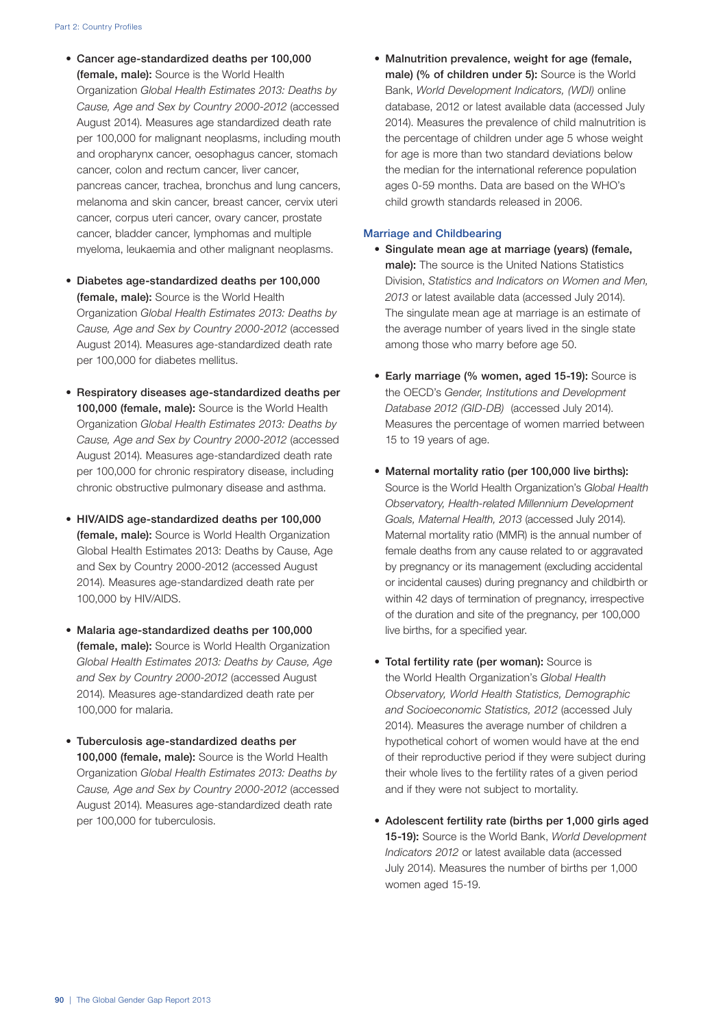- Cancer age-standardized deaths per 100,000 (female, male): Source is the World Health Organization *Global Health Estimates 2013: Deaths by Cause, Age and Sex by Country 2000-2012* (accessed August 2014). Measures age standardized death rate per 100,000 for malignant neoplasms, including mouth and oropharynx cancer, oesophagus cancer, stomach cancer, colon and rectum cancer, liver cancer, pancreas cancer, trachea, bronchus and lung cancers, melanoma and skin cancer, breast cancer, cervix uteri cancer, corpus uteri cancer, ovary cancer, prostate cancer, bladder cancer, lymphomas and multiple myeloma, leukaemia and other malignant neoplasms.
- Diabetes age-standardized deaths per 100,000 (female, male): Source is the World Health Organization *Global Health Estimates 2013: Deaths by Cause, Age and Sex by Country 2000-2012* (accessed August 2014). Measures age-standardized death rate per 100,000 for diabetes mellitus.
- Respiratory diseases age-standardized deaths per 100,000 (female, male): Source is the World Health Organization *Global Health Estimates 2013: Deaths by Cause, Age and Sex by Country 2000-2012* (accessed August 2014). Measures age-standardized death rate per 100,000 for chronic respiratory disease, including chronic obstructive pulmonary disease and asthma.
- HIV/AIDS age-standardized deaths per 100,000 (female, male): Source is World Health Organization Global Health Estimates 2013: Deaths by Cause, Age and Sex by Country 2000-2012 (accessed August 2014). Measures age-standardized death rate per 100,000 by HIV/AIDS.
- Malaria age-standardized deaths per 100,000 (female, male): Source is World Health Organization *Global Health Estimates 2013: Deaths by Cause, Age and Sex by Country 2000-2012* (accessed August 2014). Measures age-standardized death rate per 100,000 for malaria.
- Tuberculosis age-standardized deaths per 100,000 (female, male): Source is the World Health Organization *Global Health Estimates 2013: Deaths by Cause, Age and Sex by Country 2000-2012* (accessed August 2014). Measures age-standardized death rate per 100,000 for tuberculosis.

• Malnutrition prevalence, weight for age (female, male) (% of children under 5): Source is the World Bank, *World Development Indicators, (WDI)* online database, 2012 or latest available data (accessed July 2014). Measures the prevalence of child malnutrition is the percentage of children under age 5 whose weight for age is more than two standard deviations below the median for the international reference population ages 0-59 months. Data are based on the WHO's child growth standards released in 2006.

## Marriage and Childbearing

- Singulate mean age at marriage (years) (female, male): The source is the United Nations Statistics Division, *Statistics and Indicators on Women and Men, 2013* or latest available data (accessed July 2014). The singulate mean age at marriage is an estimate of the average number of years lived in the single state among those who marry before age 50.
- Early marriage (% women, aged 15-19): Source is the OECD's *Gender, Institutions and Development Database 2012 (GID-DB)* (accessed July 2014). Measures the percentage of women married between 15 to 19 years of age.
- Maternal mortality ratio (per 100,000 live births): Source is the World Health Organization's *Global Health Observatory, Health-related Millennium Development Goals, Maternal Health, 2013* (accessed July 2014). Maternal mortality ratio (MMR) is the annual number of female deaths from any cause related to or aggravated by pregnancy or its management (excluding accidental or incidental causes) during pregnancy and childbirth or within 42 days of termination of pregnancy, irrespective of the duration and site of the pregnancy, per 100,000 live births, for a specified year.
- Total fertility rate (per woman): Source is the World Health Organization's *Global Health Observatory, World Health Statistics, Demographic and Socioeconomic Statistics, 2012* (accessed July 2014). Measures the average number of children a hypothetical cohort of women would have at the end of their reproductive period if they were subject during their whole lives to the fertility rates of a given period and if they were not subject to mortality.
- Adolescent fertility rate (births per 1,000 girls aged 15-19): Source is the World Bank, *World Development Indicators 2012* or latest available data (accessed July 2014). Measures the number of births per 1,000 women aged 15-19.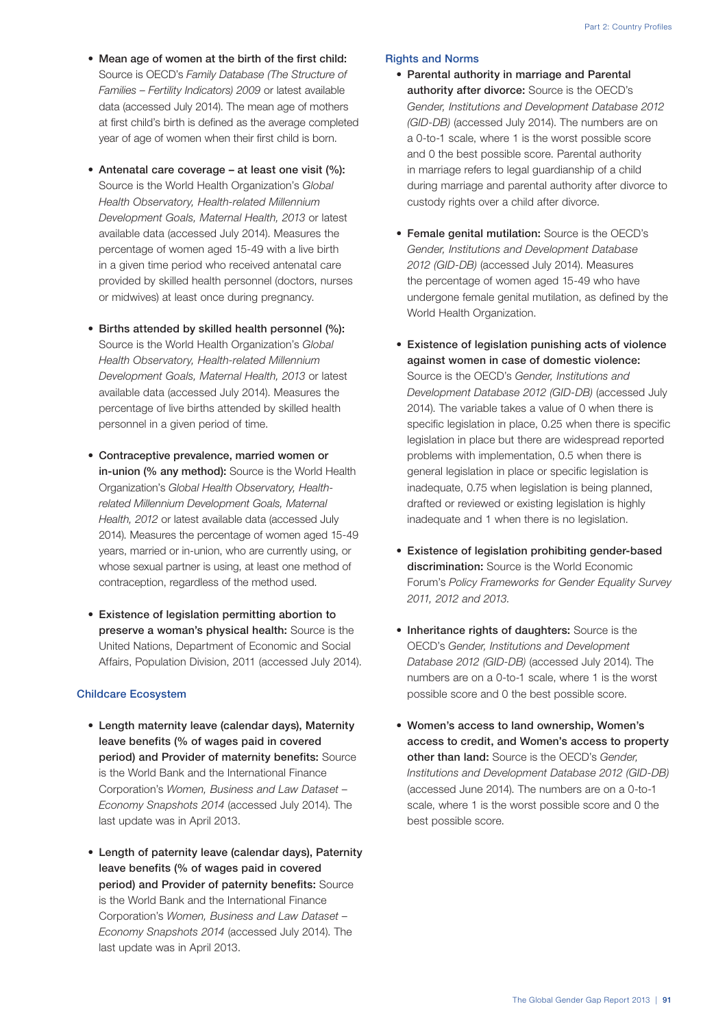- Mean age of women at the birth of the first child: Source is OECD's *Family Database (The Structure of Families – Fertility Indicators) 2009* or latest available data (accessed July 2014). The mean age of mothers at first child's birth is defined as the average completed year of age of women when their first child is born.
- Antenatal care coverage at least one visit (%): Source is the World Health Organization's *Global Health Observatory, Health-related Millennium Development Goals, Maternal Health, 2013* or latest available data (accessed July 2014). Measures the percentage of women aged 15-49 with a live birth in a given time period who received antenatal care provided by skilled health personnel (doctors, nurses or midwives) at least once during pregnancy.
- Births attended by skilled health personnel (%): Source is the World Health Organization's *Global Health Observatory, Health-related Millennium Development Goals, Maternal Health, 2013* or latest available data (accessed July 2014). Measures the percentage of live births attended by skilled health personnel in a given period of time.
- Contraceptive prevalence, married women or in-union (% any method): Source is the World Health Organization's *Global Health Observatory, Healthrelated Millennium Development Goals, Maternal Health, 2012* or latest available data (accessed July 2014). Measures the percentage of women aged 15-49 years, married or in-union, who are currently using, or whose sexual partner is using, at least one method of contraception, regardless of the method used.
- Existence of legislation permitting abortion to preserve a woman's physical health: Source is the United Nations, Department of Economic and Social Affairs, Population Division, 2011 (accessed July 2014).

## Childcare Ecosystem

- Length maternity leave (calendar days), Maternity leave benefits (% of wages paid in covered period) and Provider of maternity benefits: Source is the World Bank and the International Finance Corporation's *Women, Business and Law Dataset – Economy Snapshots 2014* (accessed July 2014). The last update was in April 2013.
- Length of paternity leave (calendar days), Paternity leave benefits (% of wages paid in covered period) and Provider of paternity benefits: Source is the World Bank and the International Finance Corporation's *Women, Business and Law Dataset – Economy Snapshots 2014* (accessed July 2014). The last update was in April 2013.

## Rights and Norms

- Parental authority in marriage and Parental authority after divorce: Source is the OECD's *Gender, Institutions and Development Database 2012 (GID-DB)* (accessed July 2014). The numbers are on a 0-to-1 scale, where 1 is the worst possible score and 0 the best possible score. Parental authority in marriage refers to legal guardianship of a child during marriage and parental authority after divorce to custody rights over a child after divorce.
- Female genital mutilation: Source is the OECD's *Gender, Institutions and Development Database 2012 (GID-DB)* (accessed July 2014). Measures the percentage of women aged 15-49 who have undergone female genital mutilation, as defined by the World Health Organization.
- Existence of legislation punishing acts of violence against women in case of domestic violence: Source is the OECD's *Gender, Institutions and Development Database 2012 (GID-DB)* (accessed July 2014). The variable takes a value of 0 when there is specific legislation in place, 0.25 when there is specific legislation in place but there are widespread reported problems with implementation, 0.5 when there is general legislation in place or specific legislation is inadequate, 0.75 when legislation is being planned, drafted or reviewed or existing legislation is highly inadequate and 1 when there is no legislation.
- Existence of legislation prohibiting gender-based discrimination: Source is the World Economic Forum's *Policy Frameworks for Gender Equality Survey 2011, 2012 and 2013.*
- Inheritance rights of daughters: Source is the OECD's *Gender, Institutions and Development Database 2012 (GID-DB)* (accessed July 2014). The numbers are on a 0-to-1 scale, where 1 is the worst possible score and 0 the best possible score.
- Women's access to land ownership, Women's access to credit, and Women's access to property other than land: Source is the OECD's *Gender, Institutions and Development Database 2012 (GID-DB)* (accessed June 2014). The numbers are on a 0-to-1 scale, where 1 is the worst possible score and 0 the best possible score.